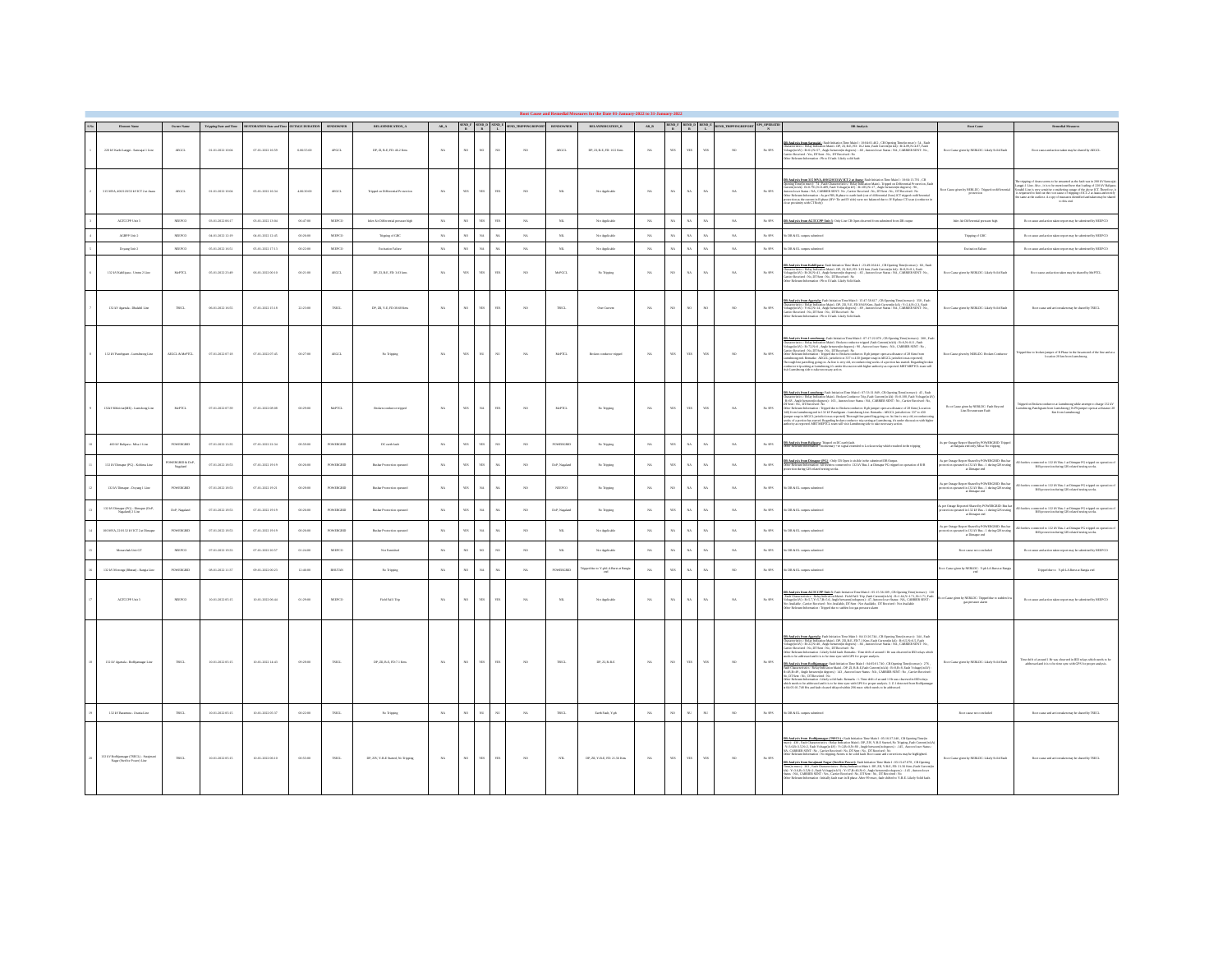| Element Name                                                                                                         | Oracr Name                  |                  | $\label{eq:top} \mbox{Tripping\,Data\,and\,Time} \qquad \mbox{RISTORATION\,Data\,and\,Time} \quad \mbox{OUTMGE\,DURATION} \qquad \mbox{SENDOWNER}$ |            |                     | RELAYINDICATION_A                    |             |                |                         |              | $\begin{array}{ccccc} \text{MAD} & \text{SIND} & \text{SIND} & \text{SIND} & \text{SIND} \\ \text{R} & \text{R} & \text{L} & \text{SID\_RHPINGRIPORT} & \text{SINDOMNIR} \end{array}$ |                 | <b>ELAYINDICATION_B</b>           |             |             |              |              | $\begin{array}{ccccc} & & \text{RIND} \text{F} & \text{RIND} \text{F} & \text{RIND} \text{F} \\ & \text{R} & \text{R} & \text{L} \end{array} \begin{array}{c} \text{RIND} \text{F} & \text{RIND} \text{F} \\ \text{L} & \text{RIND\_RHPPNGRIPORT} & \text{STS\_OFIRK} \end{array}$ |                      | DR Analysis                                                                                                                                                                                                                                                                                                                                                                                                                                                                                                                                                                                                                                                                                                                                                                                                                                                                                                                        | Root Cause                                                                                                                              | <b>Remedial Measures</b>                                                                                                                                                                                                                               |
|----------------------------------------------------------------------------------------------------------------------|-----------------------------|------------------|----------------------------------------------------------------------------------------------------------------------------------------------------|------------|---------------------|--------------------------------------|-------------|----------------|-------------------------|--------------|---------------------------------------------------------------------------------------------------------------------------------------------------------------------------------------|-----------------|-----------------------------------|-------------|-------------|--------------|--------------|------------------------------------------------------------------------------------------------------------------------------------------------------------------------------------------------------------------------------------------------------------------------------------|----------------------|------------------------------------------------------------------------------------------------------------------------------------------------------------------------------------------------------------------------------------------------------------------------------------------------------------------------------------------------------------------------------------------------------------------------------------------------------------------------------------------------------------------------------------------------------------------------------------------------------------------------------------------------------------------------------------------------------------------------------------------------------------------------------------------------------------------------------------------------------------------------------------------------------------------------------------|-----------------------------------------------------------------------------------------------------------------------------------------|--------------------------------------------------------------------------------------------------------------------------------------------------------------------------------------------------------------------------------------------------------|
| 220 kV Karbi Langpi - Sarangai I Line                                                                                | AEGGL                       | 01-01-2022 10:04 | 07-01-2022 16:59                                                                                                                                   | 6.06:55:00 | APGCL               | DP, 22, B-E, FD: 46.2 Km             | NA          | $_{\rm ND}$    | $_{\text{NO}}$          | $\infty$     |                                                                                                                                                                                       | ARGCT           | DP, 21, B-E, FD: 16.5 Km          | NA          | <b>YES</b>  | zzr          | iTS          | NO                                                                                                                                                                                                                                                                                 | $_{\mathrm{NaSPS}}$  | <b>HE Auslysis from Surusaja</b> l : Fash Initiation Time Main I : 10:04:03.462 , CH Opening Time (in mosc) : 54 , Fash<br>Tamesterister: : Rishy Indication Maini : DP, 22, B 42, FO 16:2 Line, Fashel Currentyn KA) : B.: A.:89,N::43                                                                                                                                                                                                                                                                                                                                                                                                                                                                                                                                                                                                                                                                                            | Root Came given by NERLINC: Likely Solid Fash                                                                                           | Root cause and action taken may be shared by AEGCI                                                                                                                                                                                                     |
| 315 MVA, 400 220 33 kV RT 2 at Anin                                                                                  | ARGCL                       | 01-01-2022 10:04 | 05-01-2022 16:34                                                                                                                                   | 4.06.30.00 | ARGCL               | Tripped on Differential Protection   | NA          | $_{\rm zz}$    | $_{\rm YIS}$            | W3           | 30                                                                                                                                                                                    | $_{\rm NL}$     | Not Applicable                    | $_{\rm NA}$ | $_{\rm NA}$ | $_{\rm NA}$  | $\mathbf{x}$ | $_{\rm NA}$                                                                                                                                                                                                                                                                        | $N_0$ SPS            | .<br><mark>DR Auslysis from 315 MVA, 400/220/33 kVICT 2 at Ausrac</mark> Pault Initiation Time Main I: 10:04:13.781 , CR<br>Dysaing Time/in mess'): 74 , Pault Characteristics : Rathy Indication Main1 - Tripped on Differential Protection .<br>power materials and the state commensurates, roundy measured manus (material materials and the state of the state of the state of the state of the state of the state of the state of the state of the state of the state of                                                                                                                                                                                                                                                                                                                                                                                                                                                     | or Cause given by NERLDC: Tripped on differential                                                                                       | is utipping of Axara source to be unnamed as the fault was in 200 kV Suranijai<br>angul-1 Line. Also , it is to be usen<br>foreed here that shading of 220 kV Balipural and<br>all Line is very sensitive considering output of the ab<br>to this end. |
| AGEORP Usin 3                                                                                                        | NEEDCO                      | 03-01-2022 06:17 | 03-01-2022 13:04                                                                                                                                   | 06:47:00   | NEEPCO              | Infor Air Differential pressure high | $X\Lambda$  | $_{\text{ND}}$ |                         |              | $_{\rm XA}$                                                                                                                                                                           | $_{\rm NL}$     | Not Applicable                    | $_{\rm NA}$ | $_{\rm NA}$ | $\dot{x}$    |              | $_{\rm NA}$                                                                                                                                                                                                                                                                        | $_{\mathrm{NaSPS}}$  | <b>DR Analysis from AGTCCPP Unit 3:</b> Only Line CB Open observed from submitted from DR corput                                                                                                                                                                                                                                                                                                                                                                                                                                                                                                                                                                                                                                                                                                                                                                                                                                   | Inter Air Differential pressure high                                                                                                    | Root came and action taken report may be submitted by NEEPCO                                                                                                                                                                                           |
| AGEPP Use 2                                                                                                          | NEED to                     | 04-08-2022 12:19 | 04-01-2022 12:45                                                                                                                                   | 00:26:00   | NEEPOO              | Tripping of GRC                      | NA          |                |                         |              | $N_A$                                                                                                                                                                                 | $_{NL}$         | Not Applicable                    | NA          | NA          | $_{NA}$      |              | NA                                                                                                                                                                                                                                                                                 | $Ns$ SPS             | DR & EL outputs submitted                                                                                                                                                                                                                                                                                                                                                                                                                                                                                                                                                                                                                                                                                                                                                                                                                                                                                                          | Tripping of GRC                                                                                                                         | Root cases and action taken report may be submitted by NEEPCO                                                                                                                                                                                          |
| Doyang Unit 2                                                                                                        | NSEPO                       | 05-01-2022 16:51 | 05-01-2022 17:13                                                                                                                                   | 00:22:00   | NEPCO               | Excitation Failure                   | NA          |                |                         |              | $_{\rm NA}$                                                                                                                                                                           | $_{\rm NL}$     | Not Applicable                    | $_{\rm NA}$ | NA          |              |              | $_{\rm NA}$                                                                                                                                                                                                                                                                        | $_{\mathrm{NaSPS}}$  | is DR & EL outputs submitted                                                                                                                                                                                                                                                                                                                                                                                                                                                                                                                                                                                                                                                                                                                                                                                                                                                                                                       | <b>Excitation Failure</b>                                                                                                               | Root cause and action taken report may be submitted by NEEPCO                                                                                                                                                                                          |
| 132 kV Kahilipura - Union 2 Line                                                                                     | $\ensuremath{\text{MePTL}}$ | 05-01-2022 23:49 | $06-01-2022.00:10$                                                                                                                                 | 00:21:00   | $\lambda\text{DGL}$ | DP, 21, B-E, FD: 3.03 kms            | NA          | ws             | YES.                    | иs           | 30 <sup>o</sup>                                                                                                                                                                       | MARGET          | No Tripping                       | $_{\rm NA}$ | NO          | $_{\rm NA}$  | .<br>NA      | $_{\rm NA}$                                                                                                                                                                                                                                                                        | $_{\mathrm{NaSPS}}$  | <b>R Ambuic from Kidilinara:</b> Foir Isinion Time Main I: 22-02-26.641 , CR Opening Time (in men) : 60 , Fash Islam<br>Karantentine, Bolay Malance Main : DP, ZR B, KR 20.03 km / Fash Carounjai.<br>Ai Hapita VI : 111.50.0441 , Augh b                                                                                                                                                                                                                                                                                                                                                                                                                                                                                                                                                                                                                                                                                          | Root Cases given by NERLINC: Likely Solid Fash                                                                                          | Root cause and action taken may be shared by MePTCL                                                                                                                                                                                                    |
| 132 kV Agatala - Dhalabil Line                                                                                       | THEFT.                      | 06-01-2022 16:55 | 07-01-2022 15:18                                                                                                                                   | 22:23:00   | TSECT.              | DP. ZE. Y-E. FD. HASK Kass           | NA          | $_{80}$        | YES                     | <b>YES</b>   | 300                                                                                                                                                                                   | TSECL.          | Our Canyar                        | NA          | NO          | $_{\rm ND}$  | $\infty$     | NO                                                                                                                                                                                                                                                                                 | $_{\mathrm{NaSPS}}$  | <b>DE Analysis from Agartaka:</b> Fairl Isl<br>stinis Ture Main I : IS:47:58.607 , CR Opening Tanajin marcy : 258 , Fairl<br>Chracteristics: Edding Main L $\Phi$ (2017). The Voltage<br>(in $\mathcal{N}(1)$ , Fairly Wolfgale and Solu                                                                                                                                                                                                                                                                                                                                                                                                                                                                                                                                                                                                                                                                                           | Root Cape siyes by NERLDC: Likely Solid Fash                                                                                            | Root cause and action taken may be shared by TSECL                                                                                                                                                                                                     |
| 132 kV Panchgram - Lunschnong Line                                                                                   | ADGCL-& McPTCL              | 07-01-2022 07:18 | 07-01-2022 07:45                                                                                                                                   | 00:27:00   | ARGCL               | No Tripping                          | NA          | YES.           | $_{\rm NL}$             | NU.          | $N_A$                                                                                                                                                                                 | MoPTCL          | Broken conductor trianged         | NA          | <b>YES</b>  | <b>YES</b>   | <b>EI</b>    | NO                                                                                                                                                                                                                                                                                 | $Ns$ SPS             | <b>ER And solution Languages:</b> Fash fields<br>on Two Main 1:07:17:21:09, eX (September 2000), The Control of the Society<br>of the Social Social Language (September 2004), The Social Language<br>of the Social Language (September 200                                                                                                                                                                                                                                                                                                                                                                                                                                                                                                                                                                                                                                                                                        | Root Cause given by NERLINC: Reskon Conductor                                                                                           | Tripped das to broken jumper of R Phase in the Assam end of the line and at a location 28 km from Lumchases                                                                                                                                            |
| 172kV KhickiatME) - Lunchone Line                                                                                    | McPR'L                      | 07-01-2022 07:39 | 07-01-2022 08:08                                                                                                                                   | 00:29:00   | McPTCL              | Roken conductor trimed               | NA          | YES.           | NA                      | <b>YES</b>   | 30                                                                                                                                                                                    | MoPTCL.         | No Trioping                       | NA          | YES         | <b>YES</b>   | <b>EI</b>    | NA                                                                                                                                                                                                                                                                                 | $Ns$ SPS             | <b>3R Auslysis from Lumshang:</b> Fairl Initiation Taus Main I: 07:31:31.949 ; CR Opening Time (in mee): 45 ; Fairl<br>Theresteristics : Roley Indication Main1 - Roskon Conductor Titp: Jimit Current (in Lv) : Re.0.188, Fairl: Volt<br>her Relevant Information: Tripped due to Broken conductor. R philumner coen at a distance of 28 Kms (Location<br>constants are constants. - response to stream constants in paragram spaces and are constant to a four parameter of the SMS and SMS and SMS and SMS and SMS and SMS and SMS and SMS and SMS and SMS and SMS and SMS and SMS an                                                                                                                                                                                                                                                                                                                                           | ${\tt Root\,Case}$ given by NERLDC: Fash Beyond Line Downstream Fash                                                                    | ann<br>choong while attempt to charge $132\,\mathrm{kV}$ throug<br>( $\mathrm{R}\,\mathrm{Ph}$ jumper open at a distance<br>$28$<br>ripped on Broken conductor at<br>unchnong-Panchgram from Lus<br>Kn from Luncheong)                                 |
| 400 KV Religera - Missa I Line                                                                                       | POWERGRED                   | 07-01-2022 13:35 | 07-01-2022 22:34                                                                                                                                   | 08:59:00   | POWERGEE            | DC such fash                         | NA          | <b>YES</b>     | YR.                     |              | 30                                                                                                                                                                                    | <b>POWERGED</b> | No Trioping                       | NA          | YES         | NA           | v.           | NA                                                                                                                                                                                                                                                                                 | $Ns$ SPS             | <b>IR Analysis from Balipara</b> : Tripped on DC such fash.<br>John Relevant Information : momentary +ve simul extens<br>.<br>entary «sa signal extended to Lockest relay which resulted in the tripping                                                                                                                                                                                                                                                                                                                                                                                                                                                                                                                                                                                                                                                                                                                           | ter Outage Report Shand by POWERGRED: Trippe<br>at Ballpara end only; Mixa: No tripping                                                 |                                                                                                                                                                                                                                                        |
| 132 KV Dissour (PG) - Kohina Line                                                                                    | WERGED & Dol<br>Nagaland    | 07-01-2022 18:53 | 07-01-2022 19:19                                                                                                                                   | 00:26:00   | POWERGREE           | Basher Protection operated           | NA          | YES            |                         |              | 300                                                                                                                                                                                   | DoP. Namba      | No Trioping                       | NA          | YES         |              |              | NA                                                                                                                                                                                                                                                                                 | $Na$ SPS             | .<br>Dike Relevant Internation: All fooders connected to 132 kV Bos-1 at Disrapar PG steppet.<br>Dike: Relevant Information: All fooders connected to 132 kV Bos-1 at Disrapar PG stepped on operation of B.G.<br>tion-during GIS rolated testing works.                                                                                                                                                                                                                                                                                                                                                                                                                                                                                                                                                                                                                                                                           | s per Ourage Report Shared by POWERGRID: Bas basedion operated in 132 kV Bus – 1 during GIS to stin at                                  | connected to 132 kV Bue-1 at Disnapur PG tripped on c<br>B II protection-during GBS related testing works.                                                                                                                                             |
| 132 kV Dimanar - Donate 1 Line                                                                                       | POWERGRED                   | 07-01-2022 18:53 | 07-01-2022 19:21                                                                                                                                   | 00:28:00   | POWERGEE            | Basher Protection spectral           | NA          | <b>YES</b>     |                         |              | <b>AD</b>                                                                                                                                                                             | NEEPOO          | No Trioping                       | NA          |             | $\mathbf{x}$ |              | NA                                                                                                                                                                                                                                                                                 | $Ns$ SPS             | b DR & EL correro cabalined                                                                                                                                                                                                                                                                                                                                                                                                                                                                                                                                                                                                                                                                                                                                                                                                                                                                                                        | per Outage Report Shared by POWERCRED: Bus b<br>tion operated in 172 kV Rue - 1 during GIS to stin<br>at Disnapar end                   | connected to 132 kV Bue-1 at Disnapur PG tripped on o<br>B II protection during GBS related testing works.                                                                                                                                             |
| $132\,\mathrm{kVDimaper}\,(\mathrm{PG})\cdot\mathrm{Bimoper}\,(\mathrm{DeP},\\ \mathrm{Nagalant})\,2\,\mathrm{Lisc}$ | Dr.P. Nagaland              | 07-01-2022 18:53 | 07-01-2022 19:19                                                                                                                                   | 00:26:00   | POWERGEE            | Basher Protection operated           | NA          | <b>YES</b>     | $\mathbf{x}$            |              | 30                                                                                                                                                                                    | DoP, Nagalano   | No Tripping                       | $_{\rm NA}$ | <b>YES</b>  | $_{NA}$      |              | $_{\rm NA}$                                                                                                                                                                                                                                                                        | $N_0$ SPS            | DR & EL outputs submitted                                                                                                                                                                                                                                                                                                                                                                                                                                                                                                                                                                                                                                                                                                                                                                                                                                                                                                          | or Outago Reported Shamdby POWERGRED: Bus http://www.com/<br>noction operated in 132 kV Bus – 1 during GIS noting<br>at Disnapar ond    | comected to 132 kV Bue-1 at Dimapur PG tripped on c<br>B II protection-during GBS related testing works.                                                                                                                                               |
| 100 MVA, 220/172 kV ET 2 at Dissant                                                                                  | POWERGRED                   | 07-01-2022 18:53 | 07-01-2022 19:19                                                                                                                                   | 00:26:00   | POWERGEE            | Basher Protection research           | NA          | <b>YES</b>     | $\overline{\mathbf{x}}$ |              | <b>AD</b>                                                                                                                                                                             | $N\mathbf{L}$   | Not Applicable                    | NA          | NA          | NA           | ×л.          | NA                                                                                                                                                                                                                                                                                 | $Ns$ SPS             | DR & EL outputs subsided                                                                                                                                                                                                                                                                                                                                                                                                                                                                                                                                                                                                                                                                                                                                                                                                                                                                                                           | As per Outage Report Shared by POWERGRID: Bas bar protection operated in $132\,\mathrm{kV\,Ruc}$ – $1$ dating GIS seeing at Dimaper end | omected to 132 kV Bus-1 at Dimapur PG tripped on<br>B B protection during GB related testing works.                                                                                                                                                    |
| Monachak Unit GT                                                                                                     | NSEPO                       | 07-01-2022 19:33 | 07-01-2022 20:57                                                                                                                                   | 01:24:00   | NEPCO               | Not Famished                         | NA          |                |                         |              | 300                                                                                                                                                                                   | $_{\rm NL}$     | Not Applicable                    | $_{\rm NA}$ | NA          | 84           |              | $_{\rm NA}$                                                                                                                                                                                                                                                                        | $_{\mathrm{NaSPS}}$  | is DR & EL outputs submitted                                                                                                                                                                                                                                                                                                                                                                                                                                                                                                                                                                                                                                                                                                                                                                                                                                                                                                       | Root cases not concluded                                                                                                                | Root cause and action taken report may be submitted by NEEPCO                                                                                                                                                                                          |
| 132 kV Motorga (Bhatai) - Rangia Line                                                                                | POWERGRED                   | 08-08-2022 11:37 | 09-01-2022 00:23                                                                                                                                   | 12:46:00   | BRITAN              | No Tripping                          | $_{\rm NA}$ |                |                         |              | $_{\rm NA}$                                                                                                                                                                           | <b>POWERGED</b> | ipped dae to Y-ph LA Burst at Ran | $_{\rm NA}$ |             |              |              | NO                                                                                                                                                                                                                                                                                 | $_{\mathrm{Na}}$ sps | DR & EL outputs submitted                                                                                                                                                                                                                                                                                                                                                                                                                                                                                                                                                                                                                                                                                                                                                                                                                                                                                                          | toot Cause given by NERLIDC: Y-ph LA Buret at Rangi                                                                                     | Tripped das to Y-ph LA Baret at Rangia end                                                                                                                                                                                                             |
| AGECOPP Usin 3                                                                                                       | NEEDCO                      | 10-01-2022 05:15 | 10-01-2022 06:44                                                                                                                                   | 01:29:00   | NEPCO               | Field Fall Trip                      | NA          | $_{\text{ND}}$ | YES.                    | иs           | $_{\rm XA}$                                                                                                                                                                           | $_{\rm NL}$     | Not Applicable                    | $_{\rm NA}$ | $_{\rm NA}$ | $_{\rm NA}$  | .<br>Na      | $_{\rm NA}$                                                                                                                                                                                                                                                                        | $_{\mathrm{Na}}$ sps | <b>3R Auslynis from AG TCCPP Unit 3</b> : Findt Initiation Time Main 1: 05:15:56.209 , CB Opening Time (in mea): 130<br>Fait Characteristics : Relay Indication Main - Faith Fall Tilip Fault Cravential AA): 18:1.64(3:1:7.1, B1:17, F                                                                                                                                                                                                                                                                                                                                                                                                                                                                                                                                                                                                                                                                                            |                                                                                                                                         | Root cases and action taken report may be submitted by NEEPCO                                                                                                                                                                                          |
| 132 kV Agartala - Bodhjanagar Line                                                                                   | TSECL.                      | 10-01-2022 05:15 | 10-01-2022 14:43                                                                                                                                   | 09:28:00   | TSECT.              | DP, ZE, B-E, FD: 7.1 Kms             | NA          | $_{\rm ND}$    | YES                     | W5           | $_{\text{NO}}$                                                                                                                                                                        | TSEC1.          | DP, 21, R-B-E                     | NA          | NO          | <b>YES</b>   | <b>IES</b>   | NO                                                                                                                                                                                                                                                                                 | $Na$ SPS             | <b>DE Andreis from Australie</b> Frait historica Hen $\mathbf{M}\text{sin}\mathbf{1}$ . Ot 17:58:744, CR Opening Tenecia measure $2.44$ , Final Minimide Schwarz (2014). Hence, the state of the state of the state of the state of the state of th<br>$\frac{\partial H}{\partial t} \frac{\partial \phi(x)}{\partial x} = \frac{\partial H}{\partial x} \frac{\partial \phi(x)}{\partial x} = \frac{\partial H}{\partial x} \frac{\partial \phi(x)}{\partial x} = \frac{\partial H}{\partial x} \frac{\partial \phi(x)}{\partial x} = \frac{\partial H}{\partial x} \frac{\partial \phi(x)}{\partial x} = \frac{\partial H}{\partial x} \frac{\partial \phi(x)}{\partial x} = \frac{\partial H}{\partial x} \frac{\partial \phi(x)}{\partial x} = \frac{\partial H}{\partial x} \frac{\partial \phi(x)}{\partial x} = \frac{\partial H}{\partial x} \frac{\partial \phi(x)}{\partial x} = \frac{\partial H}{\partial x} \frac{\$ | Root Cause given by NERLINC: Likely Solid Fash                                                                                          | Time drift of around 1 Hr was observed in BD relays which needs to be addressed and it is to be time sync with GPS for proper analysis.                                                                                                                |
| 172 kV Baramara - Brasia Line                                                                                        | THEFT.                      | 1040-20220515    | 10-01-2022 05:37                                                                                                                                   | 00:22:00   | TSECT.              | No Tripping                          | NA          | $_{\text{ND}}$ | $_{\rm NIR}$            | v.           | $N_A$                                                                                                                                                                                 | TSECL.          | Earth Fash, Y-rh                  | NA          | NQ          | $_{\rm NL}$  | sa:          | NO                                                                                                                                                                                                                                                                                 | $Ns$ SPS             | is DR & EL outputs submitted                                                                                                                                                                                                                                                                                                                                                                                                                                                                                                                                                                                                                                                                                                                                                                                                                                                                                                       | Root cases not concluded                                                                                                                | Root cause and action taken may be shared by TSECT                                                                                                                                                                                                     |
| 132 kV Bodhjamagar (TSECL) - Sarajanasi Nagar (Sacelius Power) Line                                                  | TSECT.                      | 10-01-2022 05:15 | 10-01-2022 06:10                                                                                                                                   | 00:55:00   | $_{\rm TMEL}$       | DP, ZIV, Y-B-E Stated, No Tripping   | NA          | $_{\rm ND}$    | $_{\rm YIS}$            | $_{\rm WSS}$ | NQ                                                                                                                                                                                    | $N$ B.          | DP, 23, Y-B-E, FD: 21:56 Kms      | $_{\rm NA}$ | $_{\rm W5}$ | $_{\rm MS}$  |              | NO                                                                                                                                                                                                                                                                                 | $N_0$ SPS            | <b>DR Analysis from Buchjannagar (ESECL)</b> : Findt Initiation Time Main I: 05:16:37.340 , CR Opening Time (i. 1971)<br>1992: T. 40, Findt Characteristics: Riday Initiation Main : DD, 201/Y-B-EStand, No Tepping Fairl Current<br>1/1<br>, CARRIER SENT: No , Carrier Received: No, DT Sent: No. DT Received: No. (Carrier Information: No tripping: Seems to be solid fault. Root came and com-<br>scriosc may be highlighted.<br><b>DE Analysis from Sarakuani Nagar (Starlita Parazz's</b> Fush Isitation Timo Main I: 05:15:157.078, CB Oponing<br>Transparance, 261, Paul Characterister, 18:kip Isdzienio Maini- 19:28, Ve-10-E, PD, 21:58:Kan Fush Chromat<br>LAQ: YL                                                                                                                                                                                                                                                    | Root Came given by NERLINC: Likely Solid Fash                                                                                           | Root cause and action taken may be shared by TSECL                                                                                                                                                                                                     |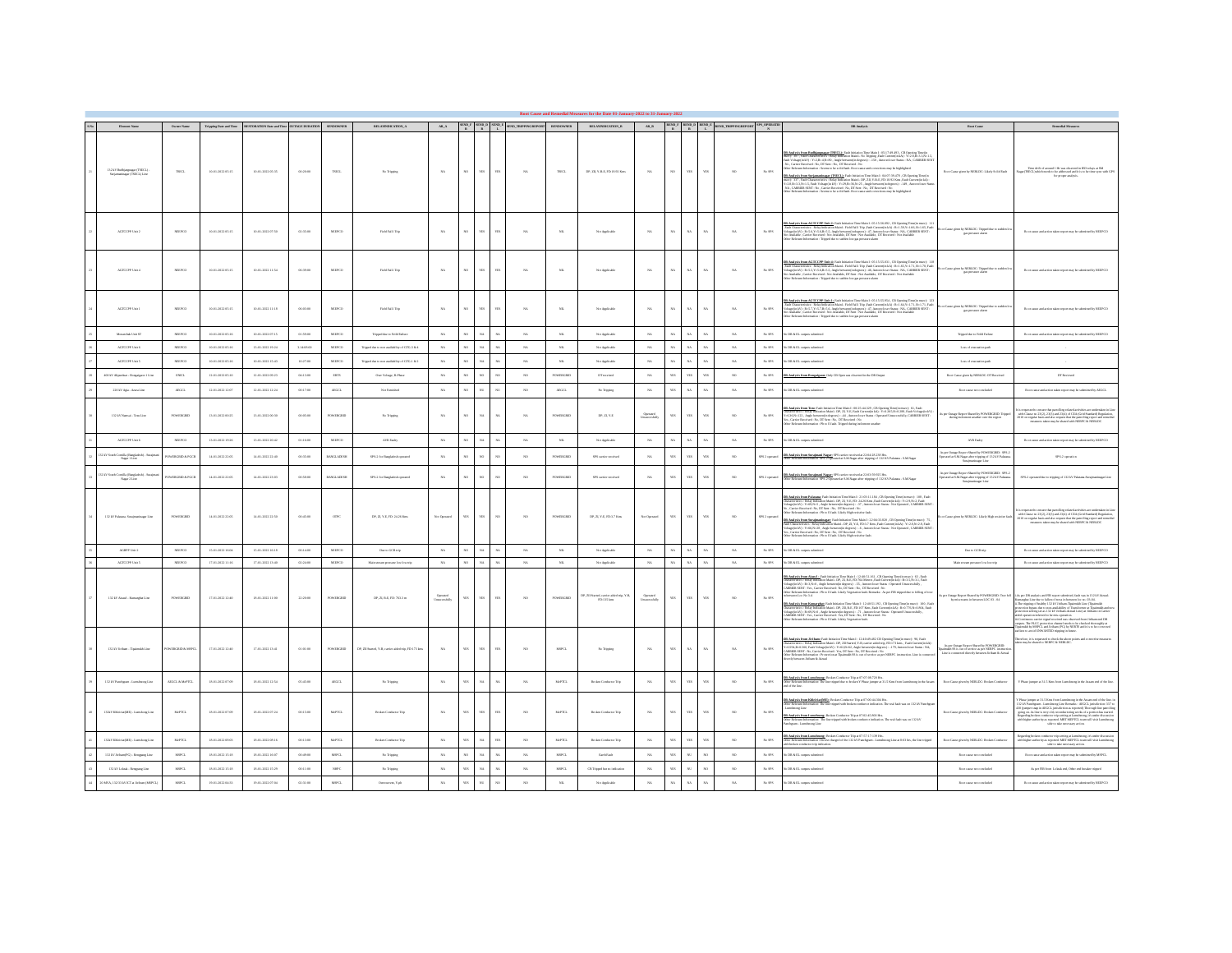| Element Name                                                | Owner Name                                 |                     | Tripping Date and Time<br>RISTORATION Date and Time<br>OUTAGE DURATION |            | <b>SENDOWNER</b>             | $\textbf{RELANTSICATION\_A}$                         |                          |             |                                | $AR_A$ SEND F SEND D SEND E SEND TRIPPINGREPORT BENDOWNER |                     | издательским в                                         |                           |                 |             |            | $\begin{array}{ccc}\n\text{AR\_B} & \text{RIND\_F} & \text{RIND\_D} & \text{RIND\_E} \\ \text{R} & \text{R} & \text{L} & \text{RIND\_IRIP2INGRISTORT} & \text{N}\n\end{array}$ |                       | DR Analysis                                                                                                                                                                                                                                                                                                                                                                                                                                                                                                                                                                                                                                                                                                                                | Root Cause                                                                                                                                               | <b>Remedial Measures</b>                                                                                                                                                                                                                                                                                                                                                                                                                                                                                                   |
|-------------------------------------------------------------|--------------------------------------------|---------------------|------------------------------------------------------------------------|------------|------------------------------|------------------------------------------------------|--------------------------|-------------|--------------------------------|-----------------------------------------------------------|---------------------|--------------------------------------------------------|---------------------------|-----------------|-------------|------------|--------------------------------------------------------------------------------------------------------------------------------------------------------------------------------|-----------------------|--------------------------------------------------------------------------------------------------------------------------------------------------------------------------------------------------------------------------------------------------------------------------------------------------------------------------------------------------------------------------------------------------------------------------------------------------------------------------------------------------------------------------------------------------------------------------------------------------------------------------------------------------------------------------------------------------------------------------------------------|----------------------------------------------------------------------------------------------------------------------------------------------------------|----------------------------------------------------------------------------------------------------------------------------------------------------------------------------------------------------------------------------------------------------------------------------------------------------------------------------------------------------------------------------------------------------------------------------------------------------------------------------------------------------------------------------|
| 132 kV Budtjangsagar (TSECL)<br>Sariamaninasur (TSECL) Line | THEFT.                                     | 10-01-2022 05:15    | 10-01-2022 05:35                                                       | 00:20:00   | TSECT.                       | No Trioping                                          | NA                       | $_{\rm ND}$ | YES<br><b>YES</b>              | $N_A$                                                     | TSECL.              | DP. ZE. Y-B-E. FD: 18.92 Kms                           | NA                        | NO              | <b>YES</b>  | <b>YES</b> | NO                                                                                                                                                                             | $Ns$ SPS              | <b>DR Analysis from Badhjanguagur (TSECL</b> ); Pault bisinsion Time Main I: 05:17:00:093 , CB Opening Time(in<br>mour): 307, Pault Chausteristics: Ristly Islandsko Mini - No Tripping J'am Chronaulin AN <sub>2</sub> "Yi:2.AJD-3.JS-1. S<br>1 Sha<br><b>DB Analysis from Surianualmear (TSECL):</b> Faith Initiation Time Main 1; 06:07:39.478 , CB Opening Tame(in<br>mear, 237, Faith Chancaretistics: Risky Indication Hain !- DP, 2H, V-BE, FD, SEC SEN, Sens fluit Cumențialis,<br>Yu2.8,<br>her Relevant Information : Seems to be solid fash. Root cause and corrections may be highlighted.                                                                                                                                     | Root Cape siyes by NERLDC: Likely Solid Fash                                                                                                             | Time chift of around 1 Hr was observed in IED relays at SM<br>Signs (TSECL)which needs to be addressed and it is to be time sync with GP<br>for proper analysis.                                                                                                                                                                                                                                                                                                                                                           |
| AGECCPP Use 2                                               | NEPCO                                      | 10-01-2022 05:15    | 10-01-2022 07:50                                                       | 02:35:00   | NEEPOO                       | Field Fall Trip                                      | $_{\rm NA}$              | $_{\rm ND}$ | 'nз<br><b>YES</b>              | $\mathbf{x}$                                              | $_{\rm NL}$         | Not Applicable                                         | $_{\rm NA}$               | $_{\rm NA}$     | NA          |            | $_{\rm NA}$                                                                                                                                                                    | $Ns$ SPS              | <b>DR Analysis from AGTCCPP Unit 2:</b> Fash Initiation Time Main I: 05:15:56:092 , CB Opening Time(in musc): 111<br>, Tutti Characteristics 1 Relay Inducation Main) – Fash Pali Unit Palips Current (i.e.) 2: 15: 15: Palips Unit<br>Wa<br>or Rolevant Information: Tripped due to sudden low gas pressure alarm                                                                                                                                                                                                                                                                                                                                                                                                                         | Cause given by NERLDC: Tripped due to endien lo en                                                                                                       | Root cause and action taken report may be submitted by NEEPI                                                                                                                                                                                                                                                                                                                                                                                                                                                               |
| AGECCPP Use 4                                               | NEPCO                                      | 10-01-2022 05:15    | 10-01-2022 11:54                                                       | 06:39:00   | NEPCO                        | Field Fall Trip                                      | NA                       | $_{\rm ND}$ | яs<br>YES                      | $_{\rm NA}$                                               | $_{\rm NL}$         | Not Applicable                                         | $_{\rm NA}$               | $_{\rm NA}$     | $_{\rm NA}$ | хÅ,        | $_{\rm NA}$                                                                                                                                                                    | $_{\rm Na\,SPS}$      | <mark>38 Analysis from AGTKYPP U<u>set</u> de</mark> Fash Beinston Timo Main I: 05:15:55:031 , CB Opening Timo(n musc): 118<br>Fast Characterister, Belay Isdansko Main - Fast Fall I Tilp Pault Carountian AN): 20.1.65/1:1.7.1.81:1.70.Team<br>fol                                                                                                                                                                                                                                                                                                                                                                                                                                                                                       | ${\bf Root \: Conv \: given \: by \: NERL \: DC: \: Trigped \: data \: to \: radio \: a \: box \: of \: B.$                                              | Root cases and action taken report may be submit                                                                                                                                                                                                                                                                                                                                                                                                                                                                           |
| AGEORP Use 1                                                | NEPCO                                      | 10-01-2022 05:15    | $10-01-2022$ $11:18$                                                   | 06:03:00   | $_{\rm NSPCO}$               | Field Fall Trip                                      | NA                       | $_{\rm ND}$ | <b>YES</b><br>ws               | $_{\rm NA}$                                               | $_{\rm NL}$         | Not Applicable                                         | $_{\rm NA}$               | $_{\rm NA}$     | $_{\rm NA}$ | хx.        | $_{\rm NA}$                                                                                                                                                                    | $N_0$ SPS             | <b>DR Audysis from AGTCCPP Unit</b> Li Fash birindon Time Main I: 05:15:55:054 , Cil Opening Time(in mus;): 123<br>, Fadi, Characteristics : Ridge balstation Main!- Field Fall Tilep Junk Current(ins.Ar): R.1: A.(A.): 13, 13, 17, F                                                                                                                                                                                                                                                                                                                                                                                                                                                                                                     | en by NERLDC: Tripped due to sudden lo<br>Case pic                                                                                                       |                                                                                                                                                                                                                                                                                                                                                                                                                                                                                                                            |
| Monechak Unit ST                                            | supro-                                     | 10-01-2022 05:16    | 10-01-2022 07:15                                                       | 00:59:00   | NEEPOO                       | Tripped das to Felixi Fallum                         | $_{\rm NA}$              |             |                                | $N_A$                                                     | $_{\rm NL}$         | Not Applicable                                         | NA                        |                 |             |            | NA                                                                                                                                                                             | $_{\rm Na\,SPS}$      | batterian steps sales                                                                                                                                                                                                                                                                                                                                                                                                                                                                                                                                                                                                                                                                                                                      | Tripped das to Feild Fallen                                                                                                                              | Root cause and action taken report may be submitted by NEEPCO                                                                                                                                                                                                                                                                                                                                                                                                                                                              |
| AGECCRP Usin                                                | NEPCO                                      | 10-01-2022 05:16    | 13-01-2022 19:24                                                       | 3.14.08.00 | NEPCO                        | Tripped due to non availability of GRG-3 & 4         | $_{\rm NA}$              |             | $\mathbf{v}$<br>8A             | $_{\rm XA}$                                               | $_{\rm NL}$         | Not Applicable                                         | $_{\rm NA}$               | NA              |             |            | $_{\rm NA}$                                                                                                                                                                    | $_{\mathrm{Ni\,SPS}}$ | DR & EL outputs subuittes                                                                                                                                                                                                                                                                                                                                                                                                                                                                                                                                                                                                                                                                                                                  | Loss of execution pat                                                                                                                                    |                                                                                                                                                                                                                                                                                                                                                                                                                                                                                                                            |
| AGECCRP Use 5                                               | NEPCO                                      | 10-01-2022 05:16    | 10-01-2022 15:47                                                       | 10:27:00   | NEPCO                        | Tripped due to non-availability of GRG-1 & 2         | $_{\rm NA}$              |             | $\overline{\mathbf{x}}$        | $_{\rm XA}$                                               | $_{\rm NL}$         | Not Applicable                                         | $_{\rm NA}$               |                 |             |            | $_{\rm NA}$                                                                                                                                                                    | $N_0$ SPS             | DR & EL outputs submitted                                                                                                                                                                                                                                                                                                                                                                                                                                                                                                                                                                                                                                                                                                                  | Loss of execution path                                                                                                                                   |                                                                                                                                                                                                                                                                                                                                                                                                                                                                                                                            |
| 400 kV Aliparduar - Bonniegon I Line                        | <b>INKL</b>                                | 12-01-2022 05:10    | 12-01-2022 09:23                                                       | 06:13:00   | <b>ERTS</b>                  | Our Volum, & Plane                                   | NA                       | w           | son.<br>$_{\text{NO}}$         | NO                                                        | POWERGEE            | DT mosterd                                             | NA                        | YES             | <b>YES</b>  |            | NO                                                                                                                                                                             | $Ns$ SPS              | R Analysis from Bonezi men: Only CR Open vas observed in the DR Output                                                                                                                                                                                                                                                                                                                                                                                                                                                                                                                                                                                                                                                                     | Root Cape sheaty NERLDC: DT Received                                                                                                                     | DT Recipred                                                                                                                                                                                                                                                                                                                                                                                                                                                                                                                |
| 220 kV Agia - Azura Lin                                     | ARGO.                                      | 12-01-2022 12:07    | 12-01-2022 12:24                                                       | 00:17:00   | ARGCL                        | Not Furnished                                        | $_{\rm NA}$              |             | ser.                           | $^{30}$                                                   | $A\bar{B}B\bar{C}L$ | No Tripping                                            | $_{\rm NA}$               | YES <sup></sup> | $_{\rm NA}$ |            | $_{\rm NA}$                                                                                                                                                                    | $N_0$ SPS             | DR & EL outputs subuittes                                                                                                                                                                                                                                                                                                                                                                                                                                                                                                                                                                                                                                                                                                                  | Root cases not concluded                                                                                                                                 | Root cases and action taken report may be submitted by AEGCL                                                                                                                                                                                                                                                                                                                                                                                                                                                               |
|                                                             |                                            |                     |                                                                        |            |                              |                                                      |                          |             |                                |                                                           |                     |                                                        |                           |                 |             |            |                                                                                                                                                                                |                       |                                                                                                                                                                                                                                                                                                                                                                                                                                                                                                                                                                                                                                                                                                                                            |                                                                                                                                                          |                                                                                                                                                                                                                                                                                                                                                                                                                                                                                                                            |
| 132 kV Namus - Tereline                                     | POWERGRED                                  | 13-01-2022 00:25    | 13-01-2022 00:30                                                       | 00:05:00   | POWERGRED                    | No Tripping                                          | NA                       | $_{\rm ND}$ | NA<br>NA                       | $N_A$                                                     | POWERGEED           | DP.ZLY-E                                               | Operated<br>Deseconfully  | YES             | ws          | <b>ITS</b> | NO                                                                                                                                                                             | $_{\mathrm{Na}}$ SPS  | ${\bf DB}$ Analysis from Tran<br>Traininis Tran ${\rm Mat} = 0.02544.129$ , CB Opening Translateness):<br>6, Units (Natural Matter of the SMA) and the Units (Natural Matter of the<br>SMA) and the Units (NATA) of the Units (NATA)                                                                                                                                                                                                                                                                                                                                                                                                                                                                                                       | to per Outage Report Shared by POWERCRED: Tripped<br>dating inclument weather over the region                                                            | is trasparented to one<br>care that parcelling column activities are undertaken in Line with Clause an<br>$23\,(21)$ and $23\,(4)$ of CEA (Grid Standard) Regulation,<br>$2010$ on regular basis and also request that the parcelling re                                                                                                                                                                                                                                                                                   |
| AGTCCPP Use o                                               | supro-                                     | 13-01-2022 19:26    | 13-01-2022 20:42                                                       | 01:16:00   | NEEPOO                       | AVR Fastry                                           | NA                       |             | XA<br>88                       | $N_A$                                                     | $_{\rm NL}$         | Not Applicable                                         | NA                        |                 | $\dot{M}$   |            | $_{\rm NA}$                                                                                                                                                                    | $_{\rm Na\,SPS}$      | DR & EL outputs submitted                                                                                                                                                                                                                                                                                                                                                                                                                                                                                                                                                                                                                                                                                                                  | AVR Fastry                                                                                                                                               | Root cause and action taken report may be submitted by NEEPCO                                                                                                                                                                                                                                                                                                                                                                                                                                                              |
| `omilla (Rangladosh) - Saraj<br>∷Nagar I Liau               | OWERGRED & POCE                            | 14-01-2022 22:05    | 14-01-2022 22:40                                                       | 00:35:00   | <b>BANGLADESH</b>            | SPS-2 for Rangladesh operated                        | $_{\rm NA}$              |             | $\infty$                       | $_{\text{NO}}$                                            | POWERGEE            | SPS canter received                                    | $_{\rm NA}$               | YES             | YES.        |            | NO                                                                                                                                                                             | SPS 2 operated        | .<br><mark>18 Analysis from Surainsani Nagar:</mark> SPS carrier received at 22:04:28.238 Hz.<br>Mar Relevant Information SPS-2 Operand at S.M. Nagar after tripping of 132 KV Palaman - S.M. Nagar                                                                                                                                                                                                                                                                                                                                                                                                                                                                                                                                        | As par Outage Report Shand by POWERGRED: SPS-2 $\label{eq:1}$ Operated at S.M.Nagar after tripping of 132 kV Palatana Sarajananimagar Line               | SPS-2 operation                                                                                                                                                                                                                                                                                                                                                                                                                                                                                                            |
| 2 kV South Comilla (Rangladosh) - Saraj<br>Nagar 2 Line     | OWERGRED & POCE                            | 14-01-2022 22:05    | 14-01-2022 23:03                                                       | 00:58:00   | <b>BANGLADESH</b>            | SPS-2 for Rancladesh energed                         | NA                       |             |                                | NO <sub>1</sub>                                           | <b>POWERGEST</b>    | SPS cattler received                                   | NA                        |                 | <b>YES</b>  |            | NO                                                                                                                                                                             | SPS 2 operated        | DR Analysis from Surajasani Nagar: SPS cartier received at 22:03:59:925 Hrs.<br>Other Relevant Information: SPS-2 Operated at S.M.Nagar after tripping of 132 KV Palamas - S.M.Nagar                                                                                                                                                                                                                                                                                                                                                                                                                                                                                                                                                       | A per Outage Report Shand by POWERGRED: SPS-2<br>ased at S.M.Nagar after tripping of 132 kV Palatana<br>Surajananinagar Line                             | SPS-2 coupared day to trimine of 132 KV Palaman-Surainus                                                                                                                                                                                                                                                                                                                                                                                                                                                                   |
| 132 kV Palasan-Sutajauningar Line                           | POWERGRID                                  | 14-01-2022 22:05    | 14:01-2022 22:50                                                       | on-as-on   | owe                          | DP. 22, Y-E, FD: 24.26 Km.                           | Not Operated             | ws          | YES<br>$^{30}$                 | - NO                                                      | <b>POWERCES</b>     | DP. ZLY-E FD. 17 Km                                    | Not Operated              | $_{\rm W5}$     | <b>YES</b>  | $\sim$     | NO                                                                                                                                                                             | SPS 2 opens           | <mark>18 Analysis from Palatano</mark> : Fast Initiative Time Main I : 21:03:11.184 , CB Opening Time/In meet): 108 , Fast<br>Characteristics : Relay Infication Main1 - DP, 22, Y-E, FD: 24.26 Kms ,Fast Current)n IA3 : Yu2:0,Nu2, Fast<br>Vol<br>Carrier Received : No. DT Seat : No. DT Received : No.<br>her Relevant Information: Phys E fault. Likely High resistive fault.<br>DR Analysis from Surainaningear: Fash Initiation Time Main I: 22:04:33:820 . CB Opening Time!<br>and 25<br><b>n care on the second second control of the second control of the second control of Chancers (eds)</b><br>all Chancers sides (Relay Indication Main) - DP, 23, VE, FR/3.7 Km, Eask Character Second LAQ : Yu2.8 Km2r<br>shapelinkVy : Y | or Cause given by NERLINC: Likely High resistive fax                                                                                                     | is requested to ensure that patrolling related activities are undertaken in Lin<br>with Chases an $23(2), 23(3)$ and $23(4)$ of CEA (Grid Standard) Regulation,<br>D310 on regular basis and also request that the patrolling report<br>measures taken may be shared with NERPC & NERLING                                                                                                                                                                                                                                  |
| AGEPP Use 3                                                 | NEPCO                                      | 15-01-2022 16:04    | 15-01-2022 16:18                                                       | 00:14:00   | NEEPOO                       | Das to GCR trip                                      | NA                       |             | NA<br>NA                       | $N_A$                                                     | $_{\rm NL}$         | Not Applicable                                         | $_{\rm NA}$               | NA              |             |            | $_{\rm NA}$                                                                                                                                                                    | $Ns$ SPS              | DR & EL outputs submitted                                                                                                                                                                                                                                                                                                                                                                                                                                                                                                                                                                                                                                                                                                                  | ${\rm D} \omega \approx {\rm GCR}$ trip                                                                                                                  | Root came and action takes report may be submitted by NEEPCO                                                                                                                                                                                                                                                                                                                                                                                                                                                               |
| AGECCPP Usis 5                                              | NSEPOO                                     | 17-01-2022 11:16    | 17-01-2022 13:40                                                       | 02:24:00   | NEEPOO                       | Main ensun pressure low low trip                     | $_{\rm NA}$              |             | XA<br>$_{\text{NA}}$           | $_{\rm NA}$                                               | $_{\rm NL}$         | Not Applicable                                         | $_{\rm NA}$               | $_{\text{NA}}$  | $\dot{M}$   |            | $_{\rm NA}$                                                                                                                                                                    | $Ns$ SPS              | DR & EL outputs submitted                                                                                                                                                                                                                                                                                                                                                                                                                                                                                                                                                                                                                                                                                                                  | Main stream pressure low low-trip                                                                                                                        | Root cause and action taken report may be submitted by NEEPCO                                                                                                                                                                                                                                                                                                                                                                                                                                                              |
| 132 KV Aized - Kamerghat Line                               | POWERGRED                                  | 17-01-2022 12:40    | 18-01-2022 11:00                                                       | 22:20:00   | POWERGRED                    | DP.22.R-R-FD:263.3 m                                 | Operated<br>Unuscondully | $_{\rm W3}$ | <b>YES</b><br>$W\!S$           | $^{30}$                                                   | <b>POWERGED</b>     | DP, ZII Started, carrier aided trip, Y-B, FD: 135 kms. | Operated<br>Unsucessfully | $_{\rm W5}$     | 155         | <b>YES</b> | $_{80}$                                                                                                                                                                        | Ns <sub>2</sub>       | <b>Vik Andrein fram Alanch "Twish bisistein Time Main I : 12:00:51.161</b> , CB Opening Timepia muscy. 63, Finah Alanch Main San Alanch Main San Alanch Main San Alanch Alanch Alanch Alanch Alanch Alanch Alanch Alanch Alanch Ala<br><mark>if Australe from Kemerchan</mark> : Fash Isitistics Teno Main I: 12:40:51.102, CB Opening Time/in most): 100 , Fash<br>Internations: : Roles Isolation Mainl - DP, ZB, RP, FD-107 Ken, Juni Chronoplan.ky : Rol.75,N=0.00, Fash<br>Mings(i                                                                                                                                                                                                                                                    | Outage Report Shared by POWERGRED: Tree full<br>by mingranms in between 1 OC 03 - 04                                                                     | per DR analysis and FIR report submitted, fault was in 132 kV Aizmal<br>arefur Line due to fallen of trees in between loc no. 03-04.<br>$\ldots$ , $\ldots$ , and<br>now measure as one likely explicit on the contract from Dichara and DR space. The PLCC protocolon channel mooth to be checked the<br>couplify at pairs . The PLCC protocolon channel mooth to be checked the                                                                                                                                          |
| 172 kV Jidhan - Tingingkh Line                              | OWERGRID & MSPC                            | 17-01-2022 12:40    | 17-01-2022 13:41                                                       | 00.01:00   | POWERGED                     | DP. 23 Started, Y-B, carrier aided trip, FD:173 kms. | <b>NA</b>                | <b>YES</b>  | YES<br><b>SIL</b>              | $_{\text{NO}}$                                            | MSPCL               | No Trioping                                            | $_{\rm NA}$               | YES <sup></sup> | NA          | v.         | NA                                                                                                                                                                             | $Ns$ SPS              | <b>DE Audrain from Erichana</b> Pauls Initiation Time Main 1: 12:00:49:445 CB Opening Temple mus<br>cy 90, Fush Coronal Constant Coronal Initiation (New York 2001), The Southern Audress Coronal Coronal Coronal Coronal Coronal                                                                                                                                                                                                                                                                                                                                                                                                                                                                                                          | As per Outage Report Shared by POWERGRID:<br>Hipsimalsh SS is out of survice as per NERPC instruction Line is connected directly between Ariban & Airnal | enfore, it is requested to check the above point<br>on may be shared to NERPC & NERL DC.                                                                                                                                                                                                                                                                                                                                                                                                                                   |
| 132 kV Panchgram - Lumshnong Line                           | ADGCL & McPTC                              | 18-01-2022 07:09    | 18-01-2022 12:54                                                       | 05:45:00   | ARGCL                        | No Tripping                                          | $_{\rm NA}$              | YES         | $X\Lambda$<br>$_{\rm NA}$      | $_{\rm NA}$                                               | McPTCL              | Brokes Conductor Trip                                  | $_{\rm NA}$               | YES             | arr         |            | $_{\rm NO}$                                                                                                                                                                    | $_{\mathrm{NaSPS}}$   | <b>DR Analysis from Lumehanne</b> ; Reskes Conductor Trip at 07:07:08.730 Hz.<br>Other Rakesan Information: The line nipped due to broken Y Plane jumper at 31.5 Kms from Lumehanng in the Assume ends of the line                                                                                                                                                                                                                                                                                                                                                                                                                                                                                                                         | Root Cause given by NERLIN': Reskon Conductor                                                                                                            | Y Phase jumper at 31.5 Kms from Lumshnong in the Assamend of the line                                                                                                                                                                                                                                                                                                                                                                                                                                                      |
| 132kVKhicidat(ME) - Lumbong Line                            | $\mathbf{M} \circ \mathbf{P} \mathbf{R}$ L | 18-01-2022 07:09    | 18-01-2022 07:24                                                       | 00:15:00   | $\ensuremath{\text{MePICL}}$ | <b>Broken Conductor Trip</b>                         | NA                       | $_{\rm W3}$ | яs<br><b>ATE</b>               |                                                           | ${\rm MePTCL}$      | <b>Broken Conductor Trip</b>                           | NA                        | $_{\rm W3}$     | ws          |            | $_{\rm NO}$                                                                                                                                                                    | $_{\mathrm{Ni\,SPS}}$ | .<br>DR Analysis from Khisiriat ME: Brokes Conductor Trip at 07:00:44.304 Hr.<br>Drhet Relevant Information: The Trie tripped with broken conductor indication. The real fault was on 132 kW Panchgr<br>${\bf DR}$ Analysis from Lunakanny. Broken Condector Tép at 07:02:45.800 Hz.<br>Other Relevant Information: The line wipped with broken condector indication. The real fash was on 132 kV<br>er Kennen surrennen.<br>eheran - Lansheone Line                                                                                                                                                                                                                                                                                       | Root Cases given by NERLDC: Reskon Conductor                                                                                                             | If Phase jumper at 31.5 Kins from Laurshaneg in the Ascurs end of the line, in $123\,\mathrm{LW}$ Packly<br>agent – Laurshang Line Renarks . A<br>Richt, interactively a $327$ model of<br>the $327$ model of 100 (jumper case) in AGGCL jur                                                                                                                                                                                                                                                                               |
| 132kV KhieldarMD - Landson Lin                              | M-PTL.                                     | IS-01-2022 08:03    | 18-01-2022 08:16                                                       | 00:13:00   | McPTCL                       | <b>Broken Conductor Trip</b>                         | NA                       |             | $\overline{w}$<br>$\mathbf{v}$ | $\mathbf{w}$                                              | MoPTCL              | Broken Conductor Trip                                  | $_{\rm NA}$               |                 |             |            | $_{80}$                                                                                                                                                                        | $_{\mathrm{Na}}$ sps. | <mark>DE Auslesie from Lumshanner</mark> Ruskes Condersor Trip at 07:57:17:139 Hrs.<br>Other Ralessar Information Oth see charged of the 132 kV Panchgram - Lumshnong Line at 8:03 hrs, the line nipped<br>with broken condersor risp indicatio                                                                                                                                                                                                                                                                                                                                                                                                                                                                                            | Root Case given by NERLISC: Broken Conductor                                                                                                             | $\label{eq:reduced} \begin{minipage}{0.9\textwidth} \begin{minipage}{0.9\textwidth} \begin{itemize} \textit{No} & \textit{nonline} \\ \textit{No} & \textit{nonline} \\ \textit{No} & \textit{nonline} \\ \textit{No} & \textit{nonline} \\ \textit{No} & \textit{nonline} \\ \end{itemize} \end{minipage} \begin{minipage}{0.9\textwidth} \begin{minipage}{0.9\textwidth} \begin{itemize} \textit{No} & \textit{nonline} \\ \textit{No} & \textit{nonline} \\ \textit{No} & \textit{nonline} \\ \end{itemize} \end{minip$ |
| 132 kV Schun(PG) - Rengung Line                             | MSPOT.                                     | $18-01-2022\,15.18$ | 18-01-2022 16:07                                                       | 00.49.00   | MSPCL                        | No Tripping                                          | $_{\rm NA}$              |             |                                | $N_A$                                                     | MSPCL               | <b>Bank Fash</b>                                       | $_{\rm NA}$               |                 |             |            | $_{\rm NO}$                                                                                                                                                                    | $N_0$ SPS             | batterian steps sales                                                                                                                                                                                                                                                                                                                                                                                                                                                                                                                                                                                                                                                                                                                      | Root cases not concluded                                                                                                                                 | Root cases and action taken report may be submitted by MSPCL                                                                                                                                                                                                                                                                                                                                                                                                                                                               |
| 132 kVLoksk - Reagang Line                                  | $_{\rm MSPL}$                              | 18-01-2022 15:18    | 18-01-2022 15:29                                                       | 00:11:00   | $_{\rm NHC}$                 | No Tripping                                          | $_{\rm NA}$              |             | NA<br><b>NA</b>                | $_{\rm NA}$                                               | $_{\rm MSPCL}$      | CB Tripped but no indication                           | $_{\rm NA}$               | YES             | $_{\rm NL}$ |            | $_{\rm NO}$                                                                                                                                                                    | $_{\mathrm{NaSPS}}$   | bathman stapes. El & SO                                                                                                                                                                                                                                                                                                                                                                                                                                                                                                                                                                                                                                                                                                                    | Root cases not concluded                                                                                                                                 | As per FBR from Loktak end, Other end breaker tripped                                                                                                                                                                                                                                                                                                                                                                                                                                                                      |
| 20 MVA, 132/33 kV RT at Jiriban (MSPCL)                     | MSPOL.                                     | 19-01-2022 04:33    | 19-01-2022 07:04                                                       | 02:31:00   | MSPCL                        | Ourcansa, Yok                                        | NA                       | <b>YES</b>  | $_{\rm NO}$<br>NU              | NQ                                                        | $_{\rm NL}$         | Not Applicable                                         | $_{\rm NA}$               | $_{\rm NA}$     | $_{\rm NA}$ | NA         | NA                                                                                                                                                                             | $Na$ SPS              | is DR & EL outputs submitted                                                                                                                                                                                                                                                                                                                                                                                                                                                                                                                                                                                                                                                                                                               | Root cases not concluded                                                                                                                                 | Root cause and action taken report may be submitted by NEEPCO                                                                                                                                                                                                                                                                                                                                                                                                                                                              |
|                                                             |                                            |                     |                                                                        |            |                              |                                                      |                          |             |                                |                                                           |                     |                                                        |                           |                 |             |            |                                                                                                                                                                                |                       |                                                                                                                                                                                                                                                                                                                                                                                                                                                                                                                                                                                                                                                                                                                                            |                                                                                                                                                          |                                                                                                                                                                                                                                                                                                                                                                                                                                                                                                                            |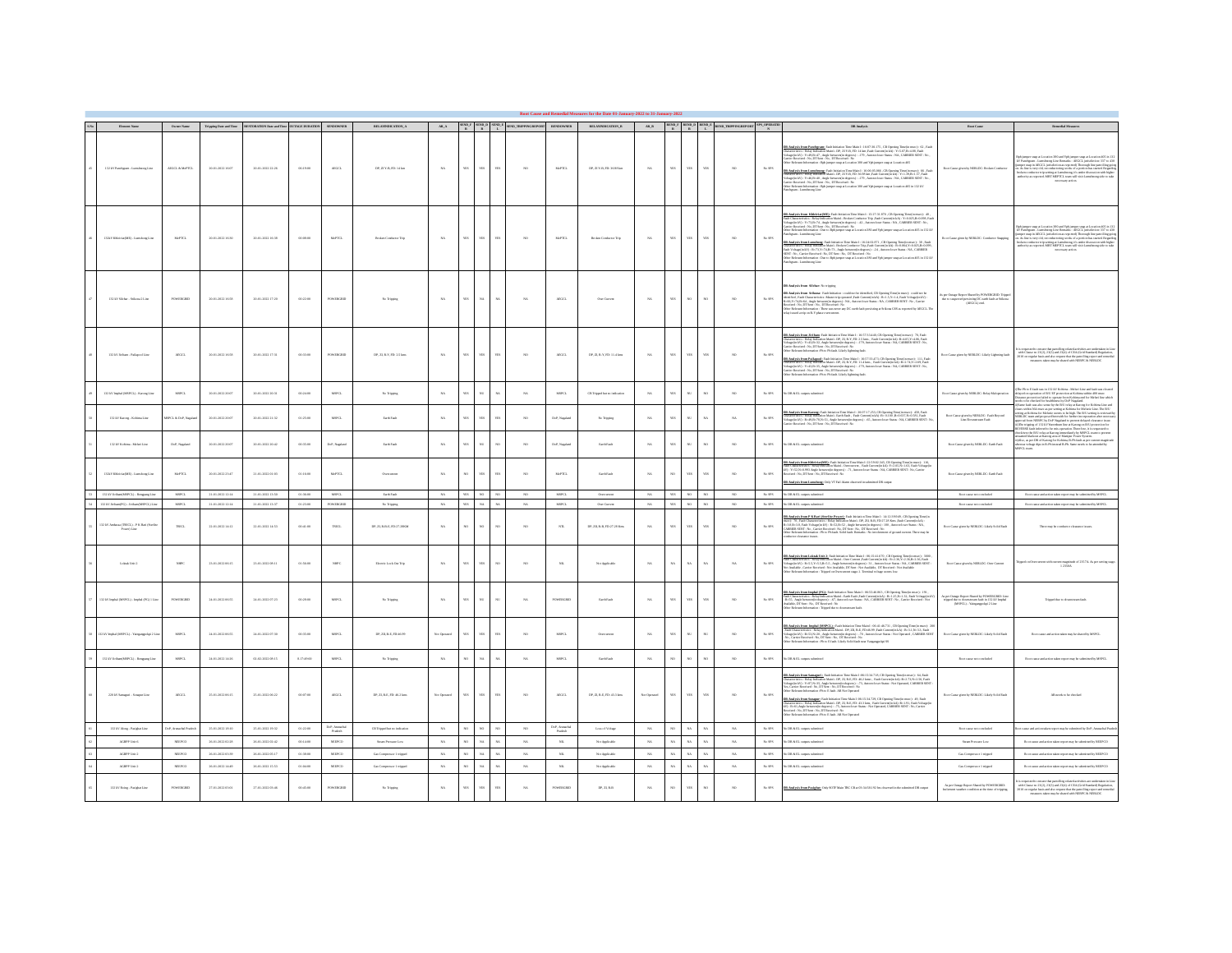| Element Name                                             | Owner Name                |                                   | $\label{eq:trig} \mbox{Trigging Data and Time} \qquad \mbox{RISTORATION Data and Time} \qquad \mbox{OUTMGE DERATION} \qquad \mbox{SINDOWNER}$ |            |                          | RELAYINDICATION_A            |              |              |                            | $\begin{array}{ccccc} \text{MAD} & \text{SIND} & \text{SIND} & \text{SIND} & \text{SIND} & \text{SIND} & \text{SIND} & \text{RID} & \text{SIND} & \text{SIND} & \text{SIND} & \text{SIND} & \text{SIND} & \text{SIND} & \text{SIND} & \text{SIND} & \text{SIND} & \text{SUD} & \text{SUD} & \text{SUD} & \text{SUD} & \text{SUD} & \text{SUD} & \text{SUD} & \text{SUD} & \text{SUD} & \text{SUD} & \text{SUD} & \text{SUD} & \text{SUD} & \text$ |                          | <b>ELAYINECATION_B</b>        |              |                |                         |             | $\begin{array}{ccccc} & & \text{RIND} \text{F} & \text{RIND} \text{D} & \text{RIND} \text{E} \\ & \text{R} & \text{R} & \text{L} \end{array}$ | $\frac{1}{N}$         | DR Analysis                                                                                                                                                                                                                                                                                                                                                                                                                                                                                                                                                                                                                                                                                                                                                                                                             | Root Cause                                                                                                                                       | <b>Remedial Measure</b>                                                                                                                                                                                                                                                                                                                                                                                                                                                                             |
|----------------------------------------------------------|---------------------------|-----------------------------------|-----------------------------------------------------------------------------------------------------------------------------------------------|------------|--------------------------|------------------------------|--------------|--------------|----------------------------|---------------------------------------------------------------------------------------------------------------------------------------------------------------------------------------------------------------------------------------------------------------------------------------------------------------------------------------------------------------------------------------------------------------------------------------------------|--------------------------|-------------------------------|--------------|----------------|-------------------------|-------------|-----------------------------------------------------------------------------------------------------------------------------------------------|-----------------------|-------------------------------------------------------------------------------------------------------------------------------------------------------------------------------------------------------------------------------------------------------------------------------------------------------------------------------------------------------------------------------------------------------------------------------------------------------------------------------------------------------------------------------------------------------------------------------------------------------------------------------------------------------------------------------------------------------------------------------------------------------------------------------------------------------------------------|--------------------------------------------------------------------------------------------------------------------------------------------------|-----------------------------------------------------------------------------------------------------------------------------------------------------------------------------------------------------------------------------------------------------------------------------------------------------------------------------------------------------------------------------------------------------------------------------------------------------------------------------------------------------|
| 132 kV Panchgram - Lumshnong Line                        | ADSCL & McPTCL            | 20-01-2022 16:07                  | 20-01-2022 22:26                                                                                                                              | 06:19:00   | ARGCL                    | DP. ZEY-B. FD: 14 km         | NA           | <b>YES</b>   | YES.<br>$W\!S$             | NQ                                                                                                                                                                                                                                                                                                                                                                                                                                                | McPTCL                   | DP.21Y-B.FD: 3698 km          | $_{\rm NA}$  | YES            | xzr                     | <b>TES</b>  | NO                                                                                                                                            | $Ns$ SPS              | ${\bf BH}$ Analysis from Pandagonus Fash Initiation Time Main I: 16:07:20.175, CB Opening Tene(in musc): 62, Fash III<br>Characteristics : Religion Main Library, 2014, PR 14: 16: 16:07:20.176, Walangita MAY: YS.<br>24: Milangita MA<br>$\overline{\text{DR}}$ Andrein Deut Emmblannig: Find Inissiens Tean Main I. 16:06:05.066 , CR Opening Teatricianus (1. 66; Find II. 16:06:05.066)<br>We concern that the state of the Solicity of the Society of the Josef Correlation (1.1.                                                                                                                                                                                                                                                                                                                                 | Root Cause given by NERLIN': Reskon Conductor                                                                                                    | per sage at Location 380 and Yeb jumper sa<br>$\label{lem:main}$ LV Panchgram - Lamshanog Line Romarks : AEGCL jurisdiction: 377 to 430 (surger empire AEGCL jurisdiction: 377 to 430 (surger empire AEGCL jurisdiction as reported) Through line parolling go<br>i.o. As line is very<br>brakes conductor trip setting at Launchmong, it's under discussion with higher authority as reported MRT MEPTCL team will visit Launchmong side to take authority as forces say action.                   |
| 172kV KhieldatMD - Landson Line                          | McPR3.                    | 20-01-2022 16:30                  | 20-01-2022 16:38                                                                                                                              | 00:08:00   | McPTCL                   | Brokes Conductor Trio        | NA           | ws           | YES.<br>иs                 | $\mathbf{v}$                                                                                                                                                                                                                                                                                                                                                                                                                                      | MoVICL.                  | <b>Broken Conductor Trip</b>  | $_{\rm NA}$  | <b>YES</b>     | <b>YES</b>              | .<br>V      | $_{\text{NO}}$                                                                                                                                | $Ns$ SPS              | R Audwie from Khleirian ME); Fash Isidation Time Main I: 15:27:31.870 . CB Opening Time<br><b>и смело не на имеется на верхников с немного неима со серветство для состоительно состоительное состояние сост<br/>all Chancestotics: Relay Indication Main1+ Reskan Conductor Tipy Pault Chanceston Rec. V.10.025 Rom 096, Paul</b><br>schgram - Lunsheong Line<br>${\bf DB}$ Ambriel from Tamelange Fosh Isitiation Tous Main I : 16:26:02:871 , CR Opening Tamelia muon: 78, Fash Characteristics : Roley Indication Main) - Emissa Conductor Tip-Jindi Characteristics : Role (Nelsteyia MOS)<br>Fas<br>.<br>Mer Relevant Information : Due to Rph jumper stap at Location 380 and Yph jumper stap at Location 405 in 132 kV<br>achgram - Lamsheong Line                                                              | Root Cause given by NERLIN': Conductor Stupping                                                                                                  | lph jumper snap at Location 380 and Yph jumper snap at Location 405 in 17.<br>:V Panchgram - Lumshnong Line Romarks : AEGCL juriodiction: 337 to 476<br>(jamper emplis AECCL jurisdiction as reported) The<br>rough line parolling goins. As line is very slid, reconductoring works of a portion has started. Regards<br>broken conductor trip setting at Lauschneng, it's under discussio<br>NUKER COMBARES HIGH MINERAL SAME IN THE MINOR OF THE MINOR OF THE MINOR SECTION AND RECOVERY ACTION. |
| 132 kV Slichar - Srikona 2 Line                          | POWERGRED                 | 20-01-2022 16:58                  | 20-01-2022 17:20                                                                                                                              | 00:22:00   | POWERGRED                | No Tripping                  | NA           | 155          | NA<br>кÅ.                  | $N_A$                                                                                                                                                                                                                                                                                                                                                                                                                                             | AEGGT.                   | Our Canya                     | NA           | <b>YES</b>     | $_{\rm ND}$             |             | NO                                                                                                                                            | No SPS                | <b>R Audwistren Sichar:</b> No tripping<br><b>DR Audjois from Schloss:</b> Fash Initiation : could not be identified, CR Opening Tenscip must; could not be identified to a final control of the control of the first control of the first control of the state of population                                                                                                                                                                                                                                                                                                                                                                                                                                                                                                                                           | Outage Report Shand by POWERGRED: Trip<br>$d\omega$ to suspected persisting DC surth finds at Stiles<br>as ${\cal O} \text{dGCL} \text{ ) and }$ |                                                                                                                                                                                                                                                                                                                                                                                                                                                                                                     |
| 132 kV Jathan - Palapool Line                            | ARGO.                     | 20-01-2022 16:58                  | 20-01-2022 17:31                                                                                                                              | 00:33:00   | POWERGRED                | DP.22.R-Y. FD: 2.5 km        | NA           | <b>YES</b>   | YES<br><b>SIL</b>          | 300                                                                                                                                                                                                                                                                                                                                                                                                                                               | ARGO.                    | DP.ZLR-Y.FD: U.4 km           | NA           | <b>YES</b>     | <b>YES</b>              |             | NO                                                                                                                                            | NsSPS                 | <b>DR Analysis from Eirikum:</b> Fash Initiation Time Main I: 16:57:33.440, CR Opening Time (in meet): 70, Fash<br>Characteristic: Fashp Indication Main! - DP, ZLR-V, FD: 2.5 Kms., Fasht Chromattick/a SR:405/SHA05, Fasht<br>Voltage(i<br>amier Roccèssel : No., DT Saut : No., DT Roccèssel : No.<br>ther Rolessar Information: Ph.to. Ph. fault. Likely lightning fault.<br>BB Analysis from Palinosal: Fash Initiation Time Main I: 16:57:33.473, CB Opening Time (in mosc): 111, Fash<br>Characteristics: Fieling Infrastion Main! - DP, 22, FA, FD: 11.4 kmc, Finite Carourija Ish, 20:2.74,Viz2.69, Fash<br><br>oltago (in kV) : Y.143 Jki.35, Angle between(in degrees) : -179, A<br>amier Roceèved : No, DT Seat : No, DT Received : No<br>ther Relevant Information :Phro Ph fault. Likely lightning fault. | Root Cause given by NERLINC: Likely Lightning fash                                                                                               | It is respected to ensure the parosizing related activities are under<br>the Chann to $23(2)$ , $23(3)$ and $23(4)$ of GAs (Gold Snadial) Both<br>$\sim 2010$ on regular basis and also request that the parolling report and<br>momentum                                                                                                                                                                                                                                                           |
| 132 kV laphal (MSPCL) - Karong Line                      | MSPOL.                    | 20-01-2022 20:07                  | 20-01-2022 20:31                                                                                                                              | 00:24:00   | MSPCL                    | No Tripping                  | NA           | YES.         |                            | $N_A$                                                                                                                                                                                                                                                                                                                                                                                                                                             | MSPCL                    | Cil Tripped but no indication | NA           | YES            | $\overline{\mathbf{M}}$ |             | NO                                                                                                                                            | $_{\mathrm{Na}}$ sps. | No DR & EL outputs submitted                                                                                                                                                                                                                                                                                                                                                                                                                                                                                                                                                                                                                                                                                                                                                                                            | Root Cause given by NERLINC: Relay Maloperation                                                                                                  | (The Phys E fash was in $172$ kV Kohima - Melari Line and fash was cleared<br>shaped on operation of B.U EF presection at Kohima within 480 ms<br>ac<br>end for Melasi line which                                                                                                                                                                                                                                                                                                                   |
| 132 kV Karong - Kohima Line                              | SPCL & DoP, Nagala        | 20-01-2022 20:07                  | 20-01-2022 21:32                                                                                                                              | 01:25:00   | MSPCL                    | Earth Fash                   | NA           | YES.         | <b>SIL</b><br>YR.          |                                                                                                                                                                                                                                                                                                                                                                                                                                                   | DoP, Nagalano            | No Tripping                   | NA           | YES            | $\overline{\mathbf{M}}$ |             | NA                                                                                                                                            | $Ns$ SPS              | <b>DR Auslysis from Karung:</b> Fash Initiation Time Mids 1: 20:07:17:253, CR Opening Time(in meac): 458, Fash<br>Characteristics : Roley Indication Mids) - Earth Fash , Fash Current(in LA): Rc 0.100 ,B1:0.673 N10:581, Fash<br>Voltag                                                                                                                                                                                                                                                                                                                                                                                                                                                                                                                                                                               | Root Came given by NERLINC. Fash Report                                                                                                          | designed on operations of HU the present from K Lothara send for Multan line which RSstraus protection failed to operate from Kohlana and for Multan line which speeds to be checked for burning at Kohlana and for Kohlana L                                                                                                                                                                                                                                                                       |
| 172 KV Kohima - Melari Line                              | DoP, Nagaland             | 20-01-2022 20:07                  | 20-01-2022 20:42                                                                                                                              | 00:25:00   | DoP, Nagalan             | <b>Bank Fash</b>             | NA           | YES.         |                            | <b>AD</b>                                                                                                                                                                                                                                                                                                                                                                                                                                         | DoP. Naraland            | <b>Bank Fash</b>              | NA           | YES            | $\overline{\rm NL}$     |             | NO                                                                                                                                            | $Ns$ SPS              | No DR & EL outputs submitted                                                                                                                                                                                                                                                                                                                                                                                                                                                                                                                                                                                                                                                                                                                                                                                            | Root Cape sings by NERLIN': Earth Fash                                                                                                           | NEW CA (where an<br>interpretational function of the state of the system of the system of<br>the system of the system of the system of the system of the system of<br>$\sim$ 10 $\mu$ Mpc and for the system<br>of the system of the system                                                                                                                                                                                                                                                         |
| 172kV KhickiatME) - Landson Lin                          | McPR'L                    | 20-01-2022 23:47                  | 21-01-2022 01:03                                                                                                                              | 00:16:00   | McPR'L                   | Ownerser                     | NA           | $_{ND}$      | YR.<br>œе                  | 300                                                                                                                                                                                                                                                                                                                                                                                                                                               | MoPTCL                   | <b>Bank Fash</b>              | $_{\rm NA}$  | $\mathbf{v}$   | YES.                    | iTS         | NO                                                                                                                                            | NsSPS                 | DR Analysis from Khisician)<br>MEy Fasi Initiative Time Mark 1-22:59:02:345, CR Quaing Time (n meet): 116, Pauli Chameration: Raily Chameration Main (2019)<br>We Yerk 2000 Mark 100 (2019): 12:52:00:000 Main (2019): 12:52:05:00<br><br>Analysis from Lamehong; Only VT Fall Alam observed in submitted DR output                                                                                                                                                                                                                                                                                                                                                                                                                                                                                                     | Root Cases singuly NERLOC: Earth Fash                                                                                                            |                                                                                                                                                                                                                                                                                                                                                                                                                                                                                                     |
| 132 kV Jichani MSPCL) - Represed Line                    | MSPOL.                    | 21-01-2022 12:14                  | 21-01-2022 13:50                                                                                                                              | 00:36:00   | MSPCL                    | <b>Bank Fash</b>             | NA           | <b>YES</b>   | $_{\rm NO}$<br>NO.         | NQ                                                                                                                                                                                                                                                                                                                                                                                                                                                | MSPCL                    | Owntartest                    | NA           | YES            | NO                      | N0          | NO                                                                                                                                            | NeSPS                 | No DR & EL outputs submitted                                                                                                                                                                                                                                                                                                                                                                                                                                                                                                                                                                                                                                                                                                                                                                                            | Root came not cominded                                                                                                                           | Root cases and action taken moot may be submitted by MSPCL.                                                                                                                                                                                                                                                                                                                                                                                                                                         |
| 132 kV Jirihan(PG) - SchumMSPCL) Line                    | MSPOL.                    | 21-01-2022 12:14                  | 21-01-2022 13:37                                                                                                                              | 01:23:00   | POWERGRED                | No Tripping                  | NA           | <b>YES</b>   | NA<br>NA                   | N <sub>A</sub>                                                                                                                                                                                                                                                                                                                                                                                                                                    | MSPCL                    | Our Canyar                    | $_{\rm NA}$  | YES            | $30$                    | $_{\rm NO}$ | NO                                                                                                                                            | $Ns$ SPS              | No DR & EL outputs submitted                                                                                                                                                                                                                                                                                                                                                                                                                                                                                                                                                                                                                                                                                                                                                                                            | Root came not concluded                                                                                                                          | Root cases and action taken moot may be submitted by MSPCL.                                                                                                                                                                                                                                                                                                                                                                                                                                         |
| 132 kV Audussa (TSECL) - P K Bati (Storli<br>Power) Line | TSECL.                    | 22-01-2022 14:12                  | 22-01-2022 14:53                                                                                                                              | 00:41:00   | TSECT.                   | DP, 21, R-B-E, FD:27.28KM    | NA           | $_{\rm ND}$  | $_{NC}$                    | NO                                                                                                                                                                                                                                                                                                                                                                                                                                                | $N$ B.                   | DP, 23, R-R, FD:27.28 Kms     | NA           | YES            | YES.                    | <b>ITS</b>  | NO                                                                                                                                            | $Na$ SPS              | <b>DE Audrein from P.E. Bud (Northu Power)</b> ; Fash Initiation Time Mids1: 14:12:20:509 , CB Opening Time (in Contraction State), and the Contraction Mids1: 09:21 R.B. (Contract), Contraction State Contraction State Contracti                                                                                                                                                                                                                                                                                                                                                                                                                                                                                                                                                                                     | Root Cases given by NERLINC: Likely Solid Fash                                                                                                   | There may be conductor clearance issues.                                                                                                                                                                                                                                                                                                                                                                                                                                                            |
| Lokak Unit 2                                             | NWC                       | 23-01-2022 06:15                  | 23-01-2022 08:11                                                                                                                              | 01:56:00   | NRFC                     | Electric Lock Out Trip       | NA           | <b>YES</b>   | YR.                        | NQ                                                                                                                                                                                                                                                                                                                                                                                                                                                | $N\mathbf{L}$            | Not Applicable                | NA           | $_{\rm NA}$    | $_{\text{NA}}$          | xл.         | NA                                                                                                                                            | No SPS                | ${\bf B\bar B}$ Anglesis from Ladash Tule 2: Findi bisistico Tuso Main 1: 06:15:11.079 , CB Opening Tuso (main 1: 2002), Tuso Cassas Main - Our Cusous (main 1: 2002), 2: Tuso (main 1: 2002), 2: Tuso (main 1: 2002), 2: Tuso (main                                                                                                                                                                                                                                                                                                                                                                                                                                                                                                                                                                                    | Root Causa given by NEELDC: Over Carrott                                                                                                         | must magnitude of 2357A. As per set<br>$1\,2350\mathrm{A}$                                                                                                                                                                                                                                                                                                                                                                                                                                          |
| 132 kV laphal (MSPCL) - laphal (PG) 1 Lin                | POWERGRED                 | 24-01-2022 06:55                  | 24-01-2022 07:23                                                                                                                              | 00:28:00   | MSPCL                    | No Tripping                  | NA           | <b>YES</b>   |                            | $N_A$                                                                                                                                                                                                                                                                                                                                                                                                                                             | <b>POWERGEED</b>         | Earth Fash                    | NA           | YES            | YES.                    |             | NO                                                                                                                                            | No SPS                | ${\bf DR}$ Analysis from Ingalai (PG); Finit Initation True Main I: 06:55:66:86) , CR Opening Fines (in most); Finite Channel Content (In The Channel Content (In The Channel Content (In The Channel Content), and the Channel Co                                                                                                                                                                                                                                                                                                                                                                                                                                                                                                                                                                                      | ne Ostan Report Shand by POWERGRED: Li<br>nipped das no desenensam fault in 132 kV Imphal $\langle \rm{MSPCL}\rangle$ - Yalegangpokpi $2$ Line   | Tripped das to downstream fault.                                                                                                                                                                                                                                                                                                                                                                                                                                                                    |
| 2 kV Imphal (MSPCL) - Yaingangoskpi 2 L                  | MSPO <sub>2</sub>         | 24-01-2022 06:55                  | 24-01-2022 07:30                                                                                                                              | 00:35:00   | MSPCL                    | DP, 23, B-E, FD:46.99        | Not Operated | <b>YES</b>   | <b>YES</b><br>иs           |                                                                                                                                                                                                                                                                                                                                                                                                                                                   | MSPCL                    | Ownterest                     | NA           | <b>VES</b>     | $\overline{\rm{M}}$     | .<br>Nu     | $_{\text{NO}}$                                                                                                                                | $Na$ SPS              | <b>DR Auslysis from Jangkai (MSPCL)</b> ; Foult histories Time Main 1: 06:41:46.731 , CB Opening Time(inmenc): 201<br> FaitCharacterists:   Ridge Ballantin Mainl-   DP, ZR, B-R, FD-86:99-Rainl Currentine D.F.V.   1.15.13, Fait<br>  N                                                                                                                                                                                                                                                                                                                                                                                                                                                                                                                                                                               | Root Cause given by NERLINC: Likely Solid Fash                                                                                                   | Root cause and action taken may be shared by MSPCI                                                                                                                                                                                                                                                                                                                                                                                                                                                  |
| 132 kV Jirihan(MSPCL) - Reagang Line                     | $_{\rm MSPGL}$            | 24-01-2022 14:26                  | 02-02-2022 08:15                                                                                                                              | 8.17.09.00 | $MSECL$                  | No Tripping                  | $_{\rm NA}$  |              |                            | $_{NA}$                                                                                                                                                                                                                                                                                                                                                                                                                                           | ${\tt MSPCL}$            | <b>Bank Fash</b>              | $_{\rm NA}$  |                | $\overline{M}$          |             | $_{\rm NO}$                                                                                                                                   | $_{\mathrm{NaSPS}}$   | is DR & EL corputs submitted                                                                                                                                                                                                                                                                                                                                                                                                                                                                                                                                                                                                                                                                                                                                                                                            | Root cause not concluded                                                                                                                         | Root cases and action takes report may be submitted by MSPCL                                                                                                                                                                                                                                                                                                                                                                                                                                        |
| 220 kV Samanuti - Sonanur Line                           | ARGCL                     | 25-01-2022 06:15                  | 25-01-2022 06:22                                                                                                                              | 00:07:00   | ARGCL                    | DP. ZLR-E FD: 46.2 km        | Not Operated | $_{\rm W3}$  | YES<br><b>YES</b>          | $_{\text{NO}}$                                                                                                                                                                                                                                                                                                                                                                                                                                    | ARGEL.                   | DP. ZL R-E, FD: 43.3 km       | Not Operated | YES            | <b>YES</b>              | <b>ETI</b>  | NO                                                                                                                                            | NsSPS                 | .<br><mark>DR Analysis from Samaruri</mark> : Fash Initiation Time Main I :06:15:34:718, CB Opening Time(in mus): 66, Fash<br>Theocercletics : Relay Indication Main! - DP, 22, R-E, FD: 46:2 kms; , Fash Current)n kA): (k:2:73,N:2:56, Fash<br>anansısında - Keny anansısında kanan - Keny Avar, Keny anansısı<br>18. Cariber Received : No. DT Sear : No. DT Received : No<br>18. Cariber Received : No. DT Sear : No. DT Received : No<br>18. Cariberan Information : Phro E fash. A<br>-73, Automology Status : Not Operated, CARREER SENT<br>${\bf B\bar B}$ Ambrie from Songare Fast Initiation Taus Main 1:06:15:34.239, CR Opening Transfer musc): 49, Fast Channelston : Bolivy Barbies and Initiative Distribution (Section 1:07): 24:45, Analysis (My): 1:04: Analysis (My)                                 | Root Cape given by NERLDC: Likely Solid Fash                                                                                                     | AR needs to be checked.                                                                                                                                                                                                                                                                                                                                                                                                                                                                             |
| 132 kV Along - Pasighat Line                             | .<br>NP, Aranachal Prades | 25-01-2022 18:10                  | 25-01-2022 19:32                                                                                                                              | 01:22:00   | DoP, Atanacha<br>Pradoch | CR Tripped but no indication | $_{\rm NA}$  |              | $\mathbf{w}$               | $^{30}$                                                                                                                                                                                                                                                                                                                                                                                                                                           | DoP, Annachal<br>Pradosh | Loss of Voltage               | $_{\rm NA}$  | $_{\text{NO}}$ | $_{\rm NA}$             | $_{\rm NA}$ | $_{\rm NA}$                                                                                                                                   | $_{\rm Na\,SPS}$      | <b>G DR &amp; EL outputs submitted</b>                                                                                                                                                                                                                                                                                                                                                                                                                                                                                                                                                                                                                                                                                                                                                                                  | Root came not concluded                                                                                                                          | cases and action taken report may be submitted by DoP, Aramchal Pra                                                                                                                                                                                                                                                                                                                                                                                                                                 |
| AGEPP Usin                                               | NEEPCO                    | 26-01-2022 02:28                  | 26-01-2022 02:42                                                                                                                              | 00:14:00   | NEEPCO                   | Sean Pressure Low            | $_{\rm NA}$  |              |                            | $_{\rm XA}$                                                                                                                                                                                                                                                                                                                                                                                                                                       | $_{\rm NL}$              | Not Applicable                | $_{\rm NA}$  |                | $\mathbf{x}$            |             | $_{\rm NA}$                                                                                                                                   | $N0$ SPS              | DR & EL outputs submitted                                                                                                                                                                                                                                                                                                                                                                                                                                                                                                                                                                                                                                                                                                                                                                                               | Steam Pressure Low                                                                                                                               | Root cause and action taken report may be submitted by $\operatorname{NSEPCO}$                                                                                                                                                                                                                                                                                                                                                                                                                      |
| AGEPP Usin 2                                             | NSEPOO                    | $26-01 - 2022 \times 3 \times 30$ | 26-01-2022 05:17                                                                                                                              | 00.88:10   | NEEPCO                   | Gas Compressor 1 stigged     | NA           |              | $_{\rm NA}$<br>$_{\rm NA}$ | $_{\rm NA}$                                                                                                                                                                                                                                                                                                                                                                                                                                       | $_{\rm NL}$              | Not Applicable                | $_{\rm NA}$  | $_{\rm NA}$    | $_{\rm NA}$             | $_{\rm NA}$ | $_{\rm NA}$                                                                                                                                   | $N0$ SPS              | is DR & EL corputs submitted                                                                                                                                                                                                                                                                                                                                                                                                                                                                                                                                                                                                                                                                                                                                                                                            | Gas Compressor 1 stipped                                                                                                                         | Root came and action taken report may be submitted by NEEPCO                                                                                                                                                                                                                                                                                                                                                                                                                                        |
| AGREE THE 2                                              | super.                    | 2600-2022 14:49                   | 2641-2022 15:53                                                                                                                               | or ne on   | super.                   | Gas Compressor 1 tripped     | $N_{A}$      | $\mathbf{m}$ | $_{\rm NA}$<br>$_{\rm NA}$ | N <sub>A</sub>                                                                                                                                                                                                                                                                                                                                                                                                                                    | $_{NL}$                  | Not Applicable                | NA           | $_{\text{NA}}$ | $N_{\rm A}$             | $_{\rm NA}$ | $N_A$                                                                                                                                         | $N_0$ SPS             | No DR & El corpor educated                                                                                                                                                                                                                                                                                                                                                                                                                                                                                                                                                                                                                                                                                                                                                                                              | Go Composer I gived                                                                                                                              | Root cases and action takes report may be submitted by NEEPCO                                                                                                                                                                                                                                                                                                                                                                                                                                       |
|                                                          |                           |                                   |                                                                                                                                               |            |                          |                              |              |              |                            |                                                                                                                                                                                                                                                                                                                                                                                                                                                   |                          |                               |              |                |                         |             |                                                                                                                                               |                       |                                                                                                                                                                                                                                                                                                                                                                                                                                                                                                                                                                                                                                                                                                                                                                                                                         |                                                                                                                                                  |                                                                                                                                                                                                                                                                                                                                                                                                                                                                                                     |
| 132 kV Roing - Pasighat Line                             | POWERGRED                 | 27-01-2022 03:01                  | 27-01-2022 03:46                                                                                                                              | 00:45:00   | POWERGES                 | No Tripping                  | NA           | <b>YES</b>   | YR.<br>'nз                 | $_{\rm NA}$                                                                                                                                                                                                                                                                                                                                                                                                                                       | POWERGES                 | $DP, Z2, R-3$                 | $_{\rm NA}$  |                | <b>YES</b>              |             | $_{\rm NO}$                                                                                                                                   | $_{\mathrm{NaSPS}}$   | Audreie from Pasiebar: Only SOTF Mais TEC CB at 02:34:58.192 lex observed in the submitted DR corpor                                                                                                                                                                                                                                                                                                                                                                                                                                                                                                                                                                                                                                                                                                                    | As per Outage Report Shand by POWERGREE:<br>Inclement weather condition at the time of trimin                                                    | is requested to ensure that parcelling related activities are undertaken in Line with Classes on $25(2), 25(1)$ and $25(4)$ of CEA (Grid Standard) Regulation, on the control of the control of the control of the maximum mea                                                                                                                                                                                                                                                                      |